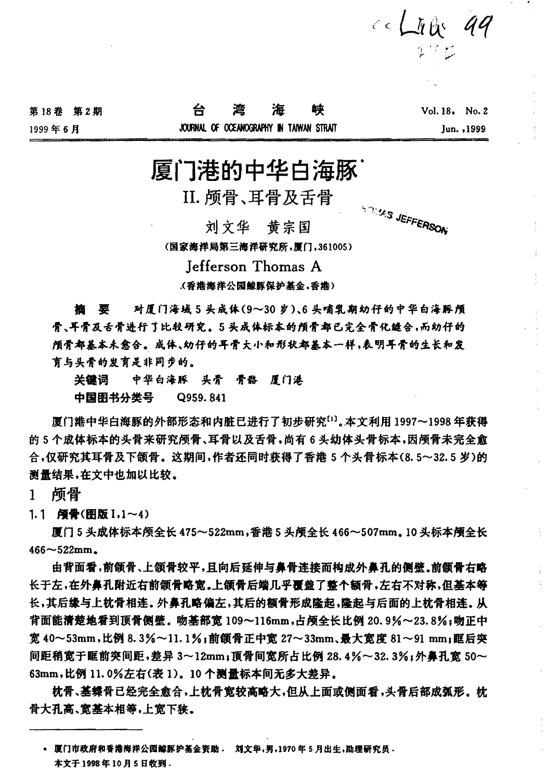| 第18卷 第2期 | 台湾海峡                                     |  | $Vol.18$ , $No.2$ |            |
|----------|------------------------------------------|--|-------------------|------------|
| 1999年6月  | JOURNAL OF OCEANOGRAPHY IN TANYAN STRAIT |  |                   | Jun. .1999 |

## 厦门港的中华白海豚

II. 颅骨、耳骨及舌骨

,人,日,、一,日,人,<br><br>"思 1.\$ 1.\$ 15 15 16

**ANY SURFERSON** 

 $c \in L_R$  by  $qq$ 

ていた

(国家海洋局第三海洋研究所,厚门,361005)

Jefferson Thomas A

(香港海洋公園鲸豚保护基金,香港)

**榴 要 对厦门海域5头成体(9~30岁),6头哺乳期幼仔的中华白海豚颅** .,. ,~.,. a \* "'l!.:.ff 1 \*,.ft.fiJf 7t. 5 1l.i\*-ti; \*" tY:1 !Ji .,. • e, Jt ~.,. -ftf4: , t5i ~h ff <sup>~</sup> 颅骨都基本未愈合。成体、幼仔的耳骨大小和形状都基本一样,表明耳骨的生长和发 育与头骨的发育是非同步的。

关键词 中华白海豚 头骨 骨骼 眉门港 中国图书分类号 Q959.841

厚门港中华白海豚的外部形态和内脏已进行了初步研究<sup>[1]</sup>。本文利用 1997~1998 年获得 的5个成体标本的头骨来研究颅骨、耳骨以及舌骨,尚有6头幼体头骨标本,因颅骨未完全愈 合,仅研究其耳骨及下颌骨。这期间,作者还同时获得了香港5个头骨标本(8.5~32.5岁)的 测量结果,在文中也加以比较。

1 颅骨<br>1.1 <sub>.</sub>瘤叠(图版 I.1~4)

厦门5 头成体标本颅全长 475~522mm,香港5 头颅全长 466~507mm. 10 头标本颅全长  $466 - 522$ mm.

由背面看,前颌骨、上颌骨较平,且向后延伸与鼻骨连接而构成外鼻孔的侧壁。前颌骨右略 长于左,在外鼻孔附近右前颌骨略宽。上颌骨后端几乎覆盖了整个额骨,左右不对称,但基本等 长,其后缘与上枕骨相连。外鼻孔略偏左,其后的额骨形成隆起,隆起与后面的上枕骨相连。从 背面能清楚地看到頂骨侧壁。吻基部窗 109~116mm,占颅全长比例 20.9%~23.8%;吻正中 宽 40~53mm,比例 8. 3%~11. 1%; 前颌骨正中宽 27~33mm、最大宽度 81~91 mm;眶后突 间距稍宽于眶前突间距,差异 3~12mm;顶骨间宽所占比例 28.4%~32.3%;外鼻孔宽 50~ 63mm,比例 11. 0%左右(表 1)。10 个测量标本间无多大差异。

枕骨、基蝶骨已经完全愈合,上枕骨宽较高略大,但从上面或侧面看,头骨后部成弧形。枕 骨大孔高、宽基本相等,上宽下狭。

<sup>•</sup> 厦门市政府和香港海洋公园鲸豚护基金资助. 刘文华,男,1970年5月出生,助理研究员. 本文于 1998年10月5日收到.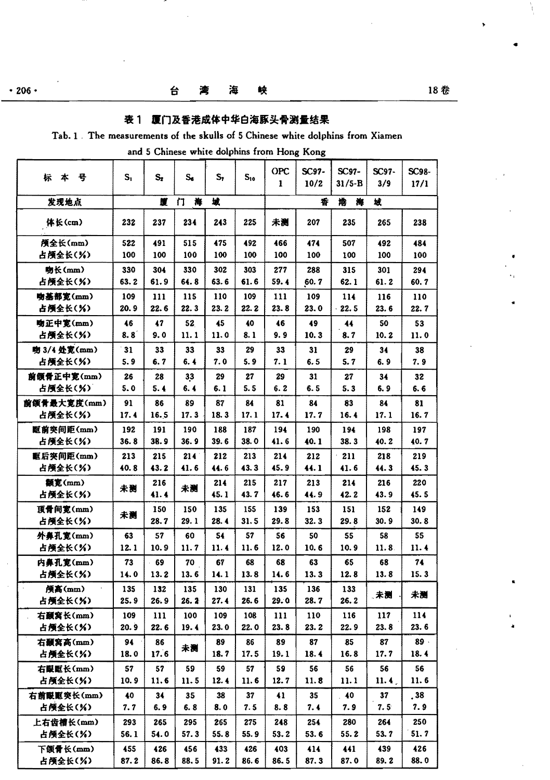$\overline{\mathbf{a}}$ 

### 表 1 厦门及香港成体中华白海豚头骨测量结果

#### Tab. 1 The measurements of the skulls of 5 Chinese white dolphins from Xiamen

and 5 Chinese white dolphins from Hong Kong

| 뵹<br>*<br>标            | $S_1$      | $S_{2}$    | $S_6$      | $S_{\tau}$ | $S_{10}$   | OPC<br>1   | SC97-<br>10/2 | SC97-<br>31/5-B | SC97-<br>3/9 | SC98-      |
|------------------------|------------|------------|------------|------------|------------|------------|---------------|-----------------|--------------|------------|
|                        |            |            |            |            |            |            |               |                 | 坡            | 17/1       |
| 发现地点                   |            | 匴          | 海<br>п     | 坡          |            |            | 香             | 捲<br>筹          |              |            |
| 体长(cm)                 | 232        | 237        | 234        | 243        | 225        | 未测         | 207           | 235             | 265          | 238        |
| 颅全长(mm)                | 522        | 491        | 515        | 475        | 492        | 466        | 474           | 507             | 492          | 484        |
| 占颅全长(%)                | 100        | 100        | 100        | 100        | 100        | 100        | 100           | 100             | 100          | 100        |
| 吻长(mm)                 | 330        | 304        | 330        | 302        | 303        | 277        | 288           | 315             | 301          | 294        |
| 占颅全长(%)                | 63.2       | 61.9       | 64.8       | 63.6       | 61.6       | 59.4       | 60.7          | 62.1            | 61.2         | 60. 7      |
| 吻基部宽(mm)               | 109        | 111        | 115        | 110        | 109        | 111        | 109           | 114             | 116          | 110        |
| 占颅全长(%)                | 20.9       | 22.6       | 22.3       | 23.2       | 22.2       | 23.8       | 23.0          | $-22.5$         | 23.6         | 22.7       |
| 吻正中宽(mm)               | 46         | 47         | 52         | 45         | 40         | 46         | 49            | 44              | 50           | 53         |
| 占颅全长(%)                | 8.8        | 9.0        | 11.1       | 11.0       | 8.1        | 9. 9       | 10.3          | 8.7             | 10.2         | 11.0       |
| 吻 3/4 处宽(mm)           | 31         | 33         | 33         | 33         | 29         | 33         | 31            | 29              | 34           | 38         |
| 占颅全长(%)                | 5.9        | 6.7        | 6.4        | 7.0        | 5.9        | 7.1        | 6.5           | 5.7             | 6.9          | 7. 9       |
| 前颌骨正中宽(mm)             | 26         | 28         | 33         | 29         | 27         | 29         | 31            | 27              | 34           | 32         |
| 占颅全长(%)                | 5.0        | 5.4        | 6.4        | 6. 1       | 5.5        | 6.2        | 6.5           | 5.3             | 6.9          | 6.6        |
| 前颌骨最大宽度(mm)<br>占颅全长(%) | 91<br>17.4 | 86<br>16.5 | 89<br>17.3 | 87<br>18.3 | 84<br>17.1 | 81<br>17.4 | 84<br>17.7    | 83<br>16.4      | 84<br>17.1   | 81<br>16.7 |
| 眶前突间距(mm)              | 192        | 191        | 190        | 188        | 187        | 194        | 190           | 194             | 198          | 197        |
| 占颅全长(%)                | 36.8       | 38.9       | 36.9       | 39.6       | 38.0       | 41.6       | 40.1          | 38.3            | 40.2         | 40.7       |
| 眶后突间距(mm)              | 213        | 215        | 214        | 212        | 213        | 214        | 212           | 211             | 218          | 219        |
| 占颅全长(%)                | 40.8       | 43.2       | 41.6       | 44.6       | 43.3       | 45.9       | 44.1          | 41.6            | 44.3         | 45.3       |
| 额宽(mm)                 | 未测         | 216        |            | 214        | 215        | 217        | 213           | 214             | 216          | 220        |
| 占颅全长(%)                |            | 41.4       | 未测         | 45.1       | 43.7       | 46.6       | 44.9          | 42.2            | 43.9         | 45.5       |
| 頂骨间宽(mm)               | 未测         | 150        | 150        | 135        | 155        | 139        | 153           | 151             | 152          | 149        |
| 占颅全长(%)                |            | 28.7       | 29.1       | 28.4       | 31.5       | 29.8       | 32.3          | 29.8            | 30.9         | 30.8       |
| 外鼻孔宽(mm)               | 63         | 57         | 60         | 54         | 57         | 56         | 50            | 55              | 58           | 55         |
| 占颅全长(%)                | 12.1       | 10.9       | 11.7       | 11.4       | 11.6       | 12.0       | 10.6          | 10.9            | 11.8.        | 11.4       |
| 内鼻孔宽(mm)               | 73         | 69         | 70         | 67         | 68         | 68         | 63            | 65              | 68           | 74         |
| 占颅全长(%)                | 14.0       | 13.2       | 13.6       | 14.1       | 13.8       | 14.6       | 13.3          | 12.8            | 13.8         | 15.3       |
| 颅高(mm)                 | 135        | 132        | 135        | 130        | 131        | 135        | 136           | 133             | 、未测          | 未测         |
| 占颅全长(%)                | 25.9       | 26.9       | 26.2       | 27.4       | 26.6       | 29.0       | 28.7          | 26.2            |              |            |
| 右颞窝长(mm)               | 109        | 111        | 100        | 109        | 108        | 111        | 110           | 116             | 117          | 114        |
| 占颅全长(%)                | 20.9       | 22.6       | 19.4       | 23.0       | 22.0       | 23.8       | 23.2          | 22.9            | 23.8         | 23.6       |
| 右颞窝高(mm)               | 94         | 86         | 未测         | 89         | 86         | 89         | 87            | 85              | 87           | 89.        |
| 占颅全长(%)                | 18.0       | 17.6       |            | 18.7       | 17.5       | 19.1       | 18.4          | 16.8            | 17.7         | 18.4       |
| 右眼眶长(mm)               | 57         | 57         | 59         | 59         | 57         | 59         | 56            | 56              | 56           | 56         |
| 占颅全长(%)                | 10.9       | 11.6       | 11.5       | 12.4       | 11.6       | 12.7       | 11.8          | 11.1            | 11.4.        | 11.6       |
| 右前眼眶突长(mm)             | 40         | 34         | 35         | 38         | 37         | 41         | 35            | 40              | 37           | , 38       |
| 占颅全长(%)                | 7.7        | 6.9        | 6.8        | 8.0        | 7.5        | 8.8        | 7. 4          | 7.9             | 7.5          | 7.9        |
| 上右齿槽长(mm)              | 293        | 265        | 295        | 265        | 275        | 248        | 254           | 280             | 264          | 250        |
| 占颅全长(%)                | 56.1       | 54.0       | 57.3       | 55.8       | 55.9       | 53.2       | 53.6          | 55.2            | 53.7         | 51.7       |
| 下颌骨长(mm)               | 455        | 426        | 456        | 433        | 426        | 403        | 414           | 441             | 439          | 426        |
| 占颅全长(%)                | 87.2       | 86.8       | 88.5       | 91.2       | 86.6       | 86.5       | 87.3          | 87.0            | 89.2         | 88.0       |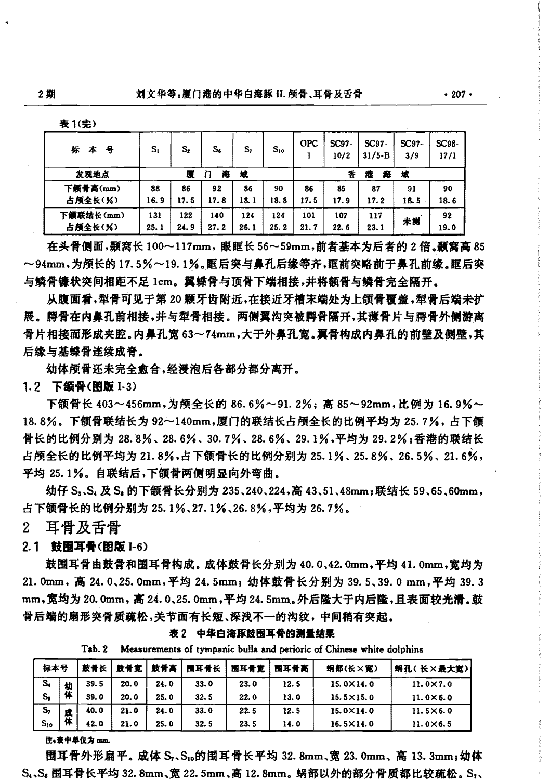| l C<br>1 |  |
|----------|--|
| ı        |  |

| 标<br>耳<br>≭ | S <sub>1</sub> | s,   | S,   | S,   | $S_{10}$ | <b>OPC</b> | SC97-<br>10/2 | $SC97-$<br>$31/5 - B$ | SC97-<br>3/9 | SC98-<br>17/1 |
|-------------|----------------|------|------|------|----------|------------|---------------|-----------------------|--------------|---------------|
| 发现地点        |                | л    | 海    | 域    |          |            | 香             | 海<br>溎                | 坡            |               |
| 下颌骨高(mm)    | 88             | 86   | 92   | 86   | 90       | 86         | 85            | 87                    | 91           | 90            |
| 占颅全长(%)     | 16.9           | 17.5 | 17.8 | 18.1 | 18.8     | 17.5       | 17.9          | 17. 2                 | 18.5         | 18.6          |
| 下颌联结长(mm)   | 131            | 122  | 140  | 124  | 124      | 101        | 107           | 117                   |              | 92            |
| 占颅全长(%)     | 25.1           | 24.9 | 27.2 | 26.1 | 25.2     | 21.7       | 22.6          | 23.1                  | 未测           | 19.0          |

在头骨侧面,颞窝长100~117mm,眼眶长56~59mm,前者基本为后者的2倍,颞窝高85 ~94mm,为颅长的17.5%~19.1%。眶后突与鼻孔后缘等齐,眶前突略前于鼻孔前缘。眶后突 与鳞骨镰状突间相距不足 1cm。翼蝶骨与顶骨下端相接,并将额骨与鳞骨完全隔开。

从腹面看,犁骨可见于第20颗牙齿附近,在接近牙槽末端处为上颌骨覆盖,犁骨后端未扩 展。腭骨在内鼻孔前相接,并与犁骨相接。两侧翼沟突被腭骨隔开,其薄骨片与腭骨外侧游离 骨片相接而形成夹腔。内鼻孔宽 63~74mm,大于外鼻孔宽。翼骨构成内鼻孔的前壁及侧壁,其 后缘与基蝶骨连续成脊。

幼体颅骨还未完全愈合,经浸泡后各部分都分离开。

1.2 下颌骨(图版 I-3)

下颌骨长 403~456mm,为颅全长的 86.6%~91.2%; 高 85~92mm,比例为 16.9%~ 18.8%。下颌骨联结长为92~140mm,厦门的联结长占颅全长的比例平均为25.7%,占下颌 骨长的比例分别为 28.8%、28.6%、30.7%、28.6%、29.1%,平均为 29.2%;香港的联结长 占颅全长的比例平均为 21.8%,占下颌骨长的比例分别为 25.1%、25.8%、26.5%、21.6%, 平均 25.1%。自联结后,下颌骨两侧明显向外弯曲。

幼仔 S、、S、及 S。的下颌骨长分别为 235、240、224,高 43、51、48mm;联结长 59、65、60mm, 占下颌骨长的比例分别为 25.1%、27.1%、26.8%,平均为 26.7%。

耳骨及舌骨  $2^{\circ}$ 

2.1 鼓圈耳骨(图版 I-6)

鼓围耳骨由鼓骨和围耳骨构成。成体鼓骨长分别为 40.0、42.0mm,平均 41.0mm,宽均为 21.0mm, 高 24.0、25.0mm, 平均 24.5mm; 幼体鼓骨长分别为 39.5、39.0mm, 平均 39.3 mm,宽均为 20.0mm, 高 24.0、25.0mm, 平均 24.5mm。外后隆大于内后隆, 且表面较光滑。鼓 骨后端的扇形突骨质疏松,关节面有长短、深浅不一的沟纹,中间稍有突起。

标本号 鼓骨长 鼓骨宽 鼓骨高 围耳骨长 围耳骨宽 围耳骨高 蜗孔(长×最大宽) 蜗部(长×宽)  $S_{4}$  $39.5$ 20.0 24.0 33.0  $23.0$  $12.5$ 15.0×14.0  $11.0 \times 7.0$ 幼 体  $S_{\rm s}$ 39.0 20.0  $25.0$ 32.5  $22.0$ 13.0  $15.5 \times 15.0$  $11.0 \times 6.0$ s, 40.0  $21.0$  $24.0$ 33.0 22.5  $12.5$  $15.0 \times 14.0$  $11.5 \times 6.0$ 茠  $S_{10}$ 42.0 21.0 25.0 32.5 23.5  $14.0$  $16.5 \times 14.0$  $11.0 \times 6.5$ 

表2 中华白海豚鼓围耳骨的测量结果

Tab. 2 Measurements of tympanic bulla and perioric of Chinese white dolphins

注:表中单位为 mm.

围耳骨外形扁平。成体 S,、S,。的围耳骨长平均 32.8mm、宽 23.0mm、高 13.3mm; 幼体 S.、S. 围耳骨长平均 32.8mm、宽 22.5mm、高 12.8mm。蜗部以外的部分骨质都比较疏松。S.、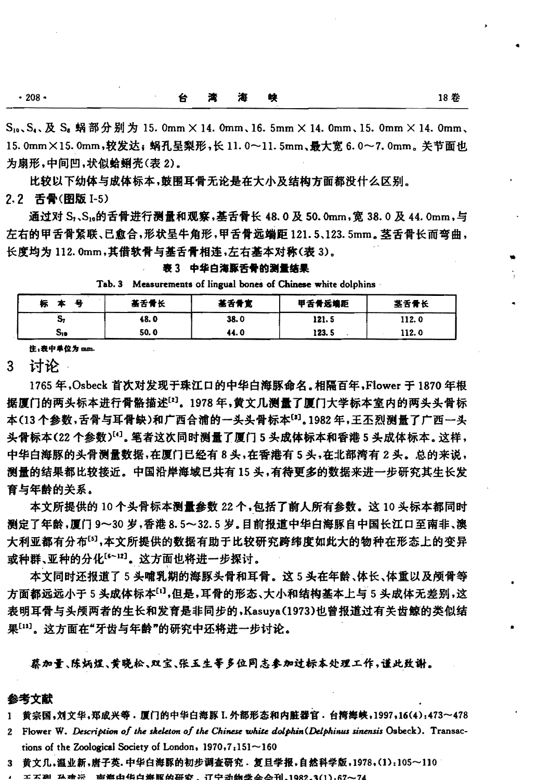$S_{10}$ ,  $S_4$ , 及  $S_5$  蜗部分别为 15. 0mm  $\times$  14. 0mm, 16. 5mm  $\times$  14. 0mm, 15. 0mm  $\times$  14. 0mm, 15.0mm×15.0mm,较发达;蜗孔呈梨形,长11.0~11.5mm,最大宽6.0~7.0mm,关节面也 为扇形,中间凹,状似蛤蜊壳(表2)。

比较以下幼体与成体标本,鼓围耳骨无论是在大小及结构方面都没什么区别。

2.2 舌骨(图版 I-5)

通过对 S,、S,。的舌骨进行测量和观察,基舌骨长 48, 0 及 50, 0mm, 宽 38, 0 及 44, 0mm, 与 左右的甲舌骨紧联、已愈合,形状呈牛角形,甲舌骨远端距 121.5、123.5mm。茎舌骨长而弯曲, 长度均为 112.0mm,其借软骨与基舌骨相连,左右基本对称(表3)。

| 表3 |  | 中华白海豚舌骨的测量结果 |  |  |
|----|--|--------------|--|--|
|----|--|--------------|--|--|

|  | Tab. 3 Measurements of lingual bones of Chinese white dolphins |  |  |  |  |  |  |  |  |
|--|----------------------------------------------------------------|--|--|--|--|--|--|--|--|
|--|----------------------------------------------------------------|--|--|--|--|--|--|--|--|

| Æ<br>ምን | 基舌骨长 | 基舌骨宽 | 甲舌骨远端距 | 茎舌骨长  |
|---------|------|------|--------|-------|
| - 72    | 48.0 | 38.0 | 121.5  | 112.0 |
| S10     | 50.0 | 44.0 | 123.5  | 112.0 |

注:表中单位为 mm.

3 讨论

1765年, Osbeck 首次对发现于珠江口的中华白海豚命名。相隔百年, Flower 干 1870 年根 据厦门的两头标本讲行骨骼描述[2]。1978年,黄文几澜量了厦门大学标本室内的两头头骨标 本(13个参数,舌骨与耳骨缺)和广西合浦的一头头骨标本[3]。1982年,王丕烈测量了广西一头 头骨标本(22个参数)[4]。笔者这次同时测量了厦门5头成体标本和香港5头成体标本。这样, 中华白海豚的头骨测量数据,在厦门已经有8头,在香港有5头,在北部湾有2头。总的来说, 测量的结果都比较接近。中国沿岸海域已共有15头,有待更多的数据来进一步研究其生长发 育与年龄的关系。

本文所提供的 10个头骨标本测量参数 22个,包括了前人所有参数。这 10头标本都同时 测定了年龄,厦门9~30岁,香港8.5~32.5岁。目前报道中华白海豚自中国长江口至南非、澳 大利亚都有分布[5],本文所提供的数据有助于比较研究跨纬度如此大的物种在形态上的变异 或种群、亚种的分化[5~12]。这方面也将进一步探讨。

本文同时还报道了5头哺乳期的海豚头骨和耳骨。这5头在年龄、体长、体重以及颅骨等 方面都远远小于5头成体标本[1],但是,耳骨的形态、大小和结构基本上与5头成体无差别,这 表明耳骨与头颅两者的生长和发育是非同步的,Kasuya(1973)也曾报道过有关齿鲸的类似结 果[13]。这方面在"牙齿与年龄"的研究中还将进一步讨论。

蔡加量、陈炳煜、黄晓松、双宝、张玉生等多位同志参加过标本处理工作,谨此致谢。

#### 参考文献

- 1 黄宗国,刘文华,郑成兴等,厦门的中华白海豚 I. 外部形态和内脏器官, 台湾海峡, 1997, 16(4): 473~478
- 2 Flower W. Description of the skeleton of the Chinese white dolphin (Delphinus sinensis Osbeck). Transactions of the Zoological Society of London,  $1970, 7, 151 - 160$
- 3 黄文几,温业新,唐子英.中华白海豚的初步调查研究. 复旦学报,自然科学版,1978,(1):105~110
- エズ胡 私療法:商弊由货自爆豚的研究,辽宁动物学会会刊。1982.3(1),67~74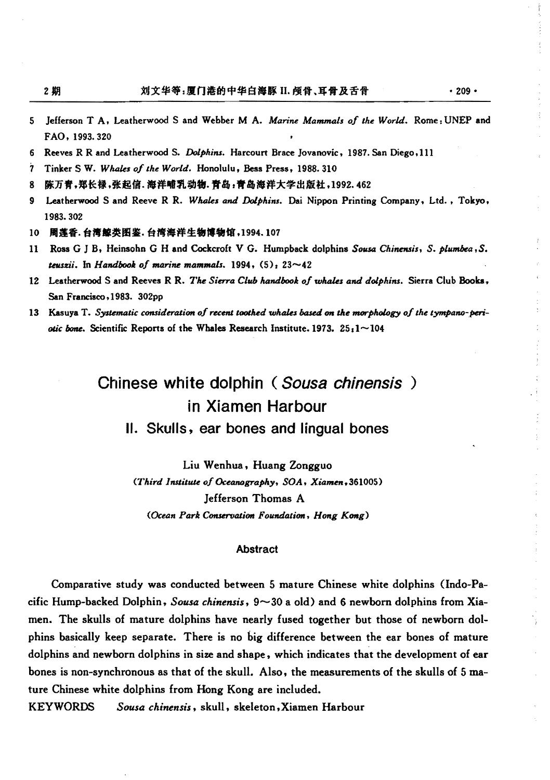$.209 -$ 

- Jefferson T A, Leatherwood S and Webber M A. Marine Mammals of the World. Rome: UNEP and 5 FAO, 1993.320
- 6 Reeves R R and Leatherwood S. Dolphins. Harcourt Brace Jovanovic, 1987. San Diego, 111
- 7 Tinker S W. Whales of the World. Honolulu, Bess Press, 1988. 310
- R 陈万青,郑长禄,张起信.海洋哺乳动物.青岛,青岛海洋大学出版社,1992.462
- Leatherwood S and Reeve R R. Whales and Dolphins. Dai Nippon Printing Company, Ltd., Tokyo, 9 1983.302
- 10 周莲香.台湾鲸类图鉴.台湾海洋生物博物馆,1994.107
- $11$ Ross G J B, Heinsohn G H and Cockcroft V G. Humpback dolphins Sousa Chinensis, S. plumbea, S. teuszii. In Handbook of marine mammals.  $1994, (5)$ :  $23~-42$
- 12 Leatherwood S and Reeves R R. The Sierra Club handbook of whales and dolphins. Sierra Club Books, San Francisco, 1983. 302pp
- 13 Kasuya T. Systematic consideration of recent toothed whales based on the morphology of the tympano-periotic bone. Scientific Reports of the Whales Research Institute. 1973.  $25:1 \sim 104$

# Chinese white dolphin (Sousa chinensis) in Xiamen Harbour

II. Skulls, ear bones and lingual bones

Liu Wenhua, Huang Zongguo (Third Institute of Oceanography, SOA, Xiamen, 361005) **Jefferson Thomas A** (Ocean Park Conservation Foundation, Hong Kong)

#### **Abstract**

Comparative study was conducted between 5 mature Chinese white dolphins (Indo-Pacific Hump-backed Dolphin, Sousa chinensis,  $9 \sim 30$  a old) and 6 newborn dolphins from Xiamen. The skulls of mature dolphins have nearly fused together but those of newborn dolphins basically keep separate. There is no big difference between the ear bones of mature dolphins and newborn dolphins in size and shape, which indicates that the development of ear bones is non-synchronous as that of the skull. Also, the measurements of the skulls of 5 mature Chinese white dolphins from Hong Kong are included.

**KEYWORDS** Sousa chinensis, skull, skeleton, Xiamen Harbour